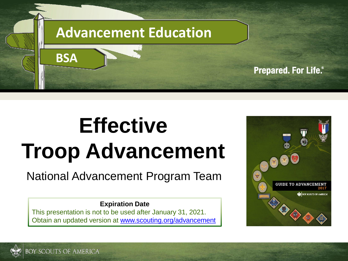

# **Effective Troop Advancement**

#### National Advancement Program Team

#### **Expiration Date**

This presentation is not to be used after January 31, 2021. Obtain an updated version at [www.scouting.org/advancement](http://www.scouting.org/advancementandAwards/resources.aspx)



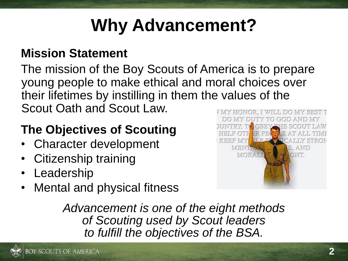## **Why Advancement?**

#### **Mission Statement**

The mission of the Boy Scouts of America is to prepare young people to make ethical and moral choices over their lifetimes by instilling in them the values of the Scout Oath and Scout Law.

#### **The Objectives of Scouting**

- Character development
- Citizenship training
- Leadership
- Mental and physical fitness



*Advancement is one of the eight methods of Scouting used by Scout leaders to fulfill the objectives of the BSA.*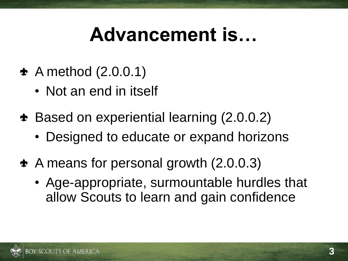## **Advancement is…**

- $\triangle$  A method (2.0.0.1)
	- Not an end in itself
- Based on experiential learning (2.0.0.2)
	- Designed to educate or expand horizons
- A means for personal growth (2.0.0.3)
	- Age-appropriate, surmountable hurdles that allow Scouts to learn and gain confidence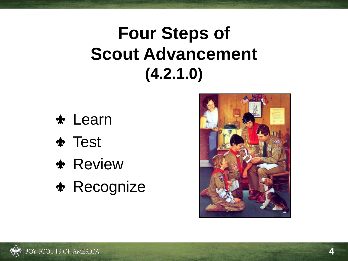## **Four Steps of Scout Advancement (4.2.1.0)**

- Learn
- Test
- **\*** Review
- \* Recognize

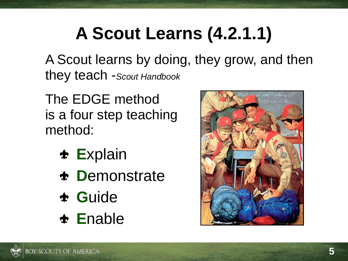## **A Scout Learns (4.2.1.1)**

A Scout learns by doing, they grow, and then they teach -*Scout Handbook*

The EDGE method is a four step teaching method:

- **E**xplain
- **D**emonstrate
- **G**uide
- **E**nable

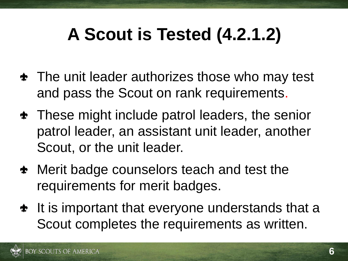## **A Scout is Tested (4.2.1.2)**

- $\triangle$  The unit leader authorizes those who may test and pass the Scout on rank requirements.
- $\triangle$  These might include patrol leaders, the senior patrol leader, an assistant unit leader, another Scout, or the unit leader.
- Merit badge counselors teach and test the requirements for merit badges.
- $\triangleq$  It is important that everyone understands that a Scout completes the requirements as written.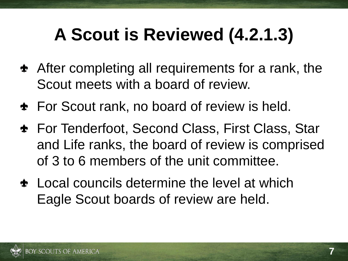## **A Scout is Reviewed (4.2.1.3)**

- **\*** After completing all requirements for a rank, the Scout meets with a board of review.
- **\*** For Scout rank, no board of review is held.
- For Tenderfoot, Second Class, First Class, Star and Life ranks, the board of review is comprised of 3 to 6 members of the unit committee.
- $\triangle$  Local councils determine the level at which Eagle Scout boards of review are held.

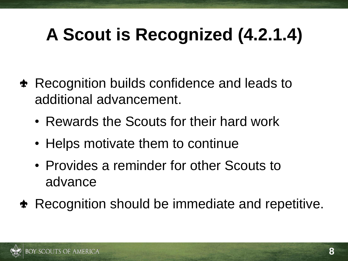## **A Scout is Recognized (4.2.1.4)**

- **\*** Recognition builds confidence and leads to additional advancement.
	- Rewards the Scouts for their hard work
	- Helps motivate them to continue
	- Provides a reminder for other Scouts to advance
- **\*** Recognition should be immediate and repetitive.

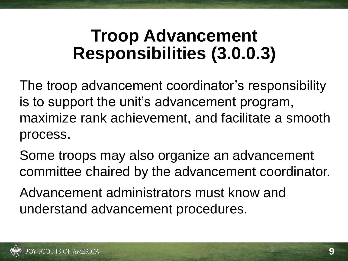### **Troop Advancement Responsibilities (3.0.0.3)**

The troop advancement coordinator's responsibility is to support the unit's advancement program, maximize rank achievement, and facilitate a smooth process.

Some troops may also organize an advancement committee chaired by the advancement coordinator.

Advancement administrators must know and understand advancement procedures.



9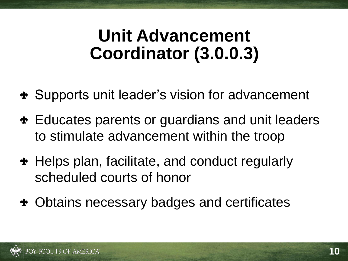- **\*** Supports unit leader's vision for advancement
- $\triangle$  Educates parents or guardians and unit leaders to stimulate advancement within the troop
- Helps plan, facilitate, and conduct regularly scheduled courts of honor
- Obtains necessary badges and certificates

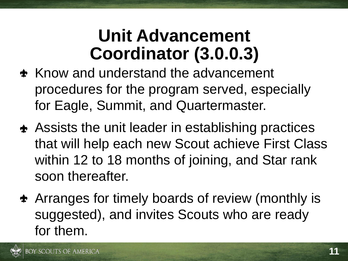- $\triangle$  Know and understand the advancement procedures for the program served, especially for Eagle, Summit, and Quartermaster.
- **\*** Assists the unit leader in establishing practices that will help each new Scout achieve First Class within 12 to 18 months of joining, and Star rank soon thereafter.
- Arranges for timely boards of review (monthly is suggested), and invites Scouts who are ready for them.

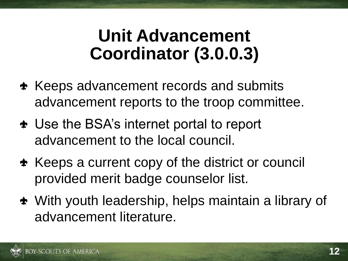- **\*** Keeps advancement records and submits advancement reports to the troop committee.
- Use the BSA's internet portal to report advancement to the local council.
- **\*** Keeps a current copy of the district or council provided merit badge counselor list.
- With youth leadership, helps maintain a library of advancement literature.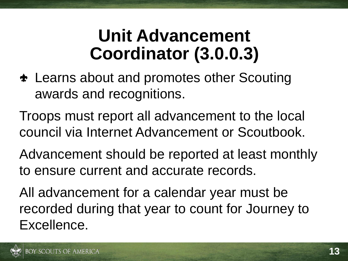Learns about and promotes other Scouting awards and recognitions.

Troops must report all advancement to the local council via Internet Advancement or Scoutbook.

Advancement should be reported at least monthly to ensure current and accurate records.

All advancement for a calendar year must be recorded during that year to count for Journey to Excellence.

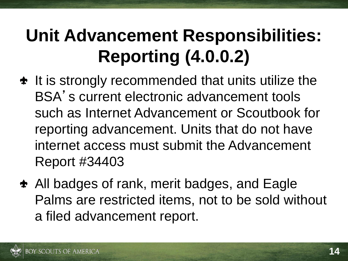## **Unit Advancement Responsibilities: Reporting (4.0.0.2)**

- $\triangleq$  It is strongly recommended that units utilize the BSA's current electronic advancement tools such as Internet Advancement or Scoutbook for reporting advancement. Units that do not have internet access must submit the Advancement Report #34403
- All badges of rank, merit badges, and Eagle Palms are restricted items, not to be sold without a filed advancement report.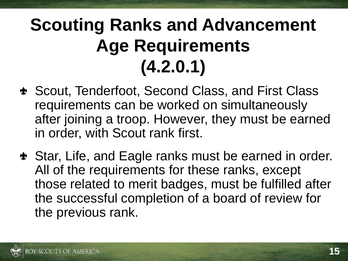## **Scouting Ranks and Advancement Age Requirements (4.2.0.1)**

- Scout, Tenderfoot, Second Class, and First Class requirements can be worked on simultaneously after joining a troop. However, they must be earned in order, with Scout rank first.
- Star, Life, and Eagle ranks must be earned in order. All of the requirements for these ranks, except those related to merit badges, must be fulfilled after the successful completion of a board of review for the previous rank.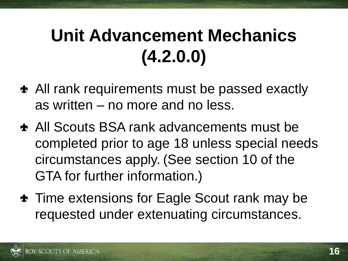## **Unit Advancement Mechanics (4.2.0.0)**

- All rank requirements must be passed exactly as written – no more and no less.
- All Scouts BSA rank advancements must be completed prior to age 18 unless special needs circumstances apply. (See section 10 of the GTA for further information.)
- $\triangle$  Time extensions for Eagle Scout rank may be requested under extenuating circumstances.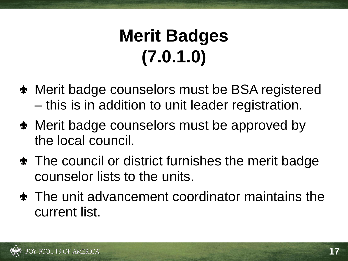## **Merit Badges (7.0.1.0)**

- Merit badge counselors must be BSA registered – this is in addition to unit leader registration.
- Merit badge counselors must be approved by the local council.
- $\triangle$  The council or district furnishes the merit badge counselor lists to the units.
- $\triangle$  The unit advancement coordinator maintains the current list.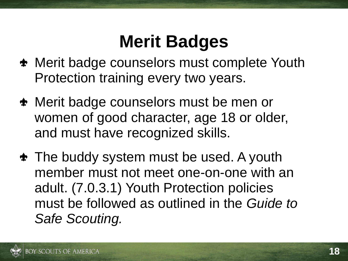## **Merit Badges**

- **\*** Merit badge counselors must complete Youth Protection training every two years.
- Merit badge counselors must be men or women of good character, age 18 or older, and must have recognized skills.
- **\*** The buddy system must be used. A youth member must not meet one-on-one with an adult. (7.0.3.1) Youth Protection policies must be followed as outlined in the *Guide to Safe Scouting.*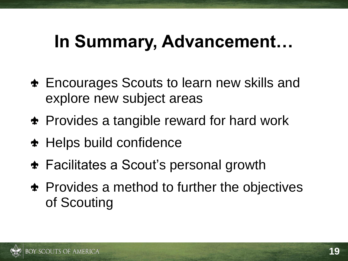### **In Summary, Advancement…**

- Encourages Scouts to learn new skills and explore new subject areas
- **\*** Provides a tangible reward for hard work
- **\*** Helps build confidence
- Facilitates a Scout's personal growth
- $\bullet$  Provides a method to further the objectives of Scouting